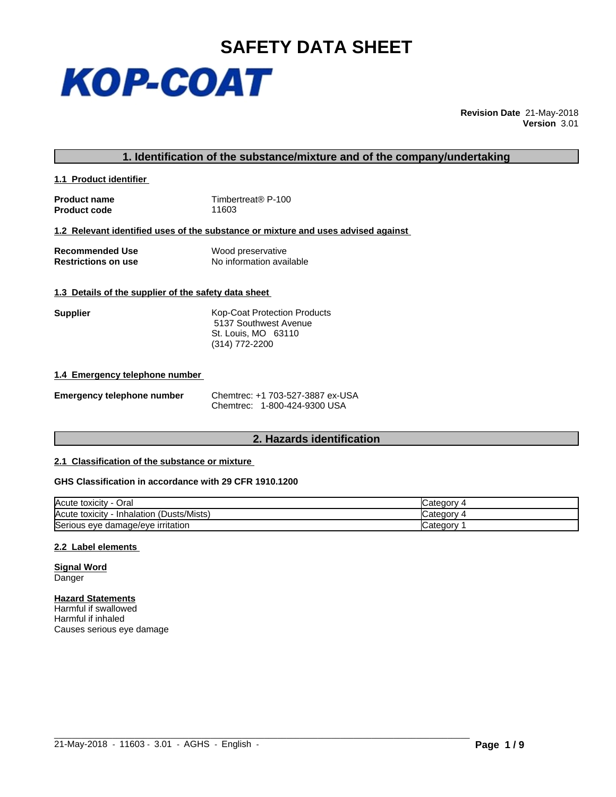

**Revision Date** 21-May-2018 **Version** 3.01

# **1. Identification of the substance/mixture and of the company/undertaking**

**1.1 Product identifier** 

**Product name** Timbertreat® P-100<br> **Product code** T1603 **Product code** 

## **1.2 Relevant identified uses of the substance or mixture and uses advised against**

| <b>Recommended Use</b>     | Wood preservative        |
|----------------------------|--------------------------|
| <b>Restrictions on use</b> | No information available |

# **1.3 Details of the supplier of the safety data sheet**

**Supplier** Kop-Coat Protection Products 5137 Southwest Avenue St. Louis, MO 63110 (314) 772-2200

## **1.4 Emergency telephone number**

| <b>Emergency telephone number</b> | Chemtrec: $+1$ |
|-----------------------------------|----------------|
|                                   |                |

**Emergency telephone number** Chemtrec: +1 703-527-3887 ex-USA Chemtrec: 1-800-424-9300 USA

# **2. Hazards identification**

# **2.1 Classification of the substance or mixture**

# **GHS Classification in accordance with 29 CFR 1910.1200**

| Acute toxicity<br>Oral                                      | ategor: ت<br>-   |
|-------------------------------------------------------------|------------------|
| (Dusts/Mists`<br>Acute toxicity<br>$\sqrt{2}$<br>Inhalation | calegor:         |
| Serious eye damage/eye irritation                           | 'ategorب Categor |

 $\_$  ,  $\_$  ,  $\_$  ,  $\_$  ,  $\_$  ,  $\_$  ,  $\_$  ,  $\_$  ,  $\_$  ,  $\_$  ,  $\_$  ,  $\_$  ,  $\_$  ,  $\_$  ,  $\_$  ,  $\_$  ,  $\_$  ,  $\_$  ,  $\_$  ,  $\_$  ,  $\_$  ,  $\_$  ,  $\_$  ,  $\_$  ,  $\_$  ,  $\_$  ,  $\_$  ,  $\_$  ,  $\_$  ,  $\_$  ,  $\_$  ,  $\_$  ,  $\_$  ,  $\_$  ,  $\_$  ,  $\_$  ,  $\_$  ,

## **2.2 Label elements**

**Signal Word** Danger

# **Hazard Statements**

Harmful if swallowed Harmful if inhaled Causes serious eye damage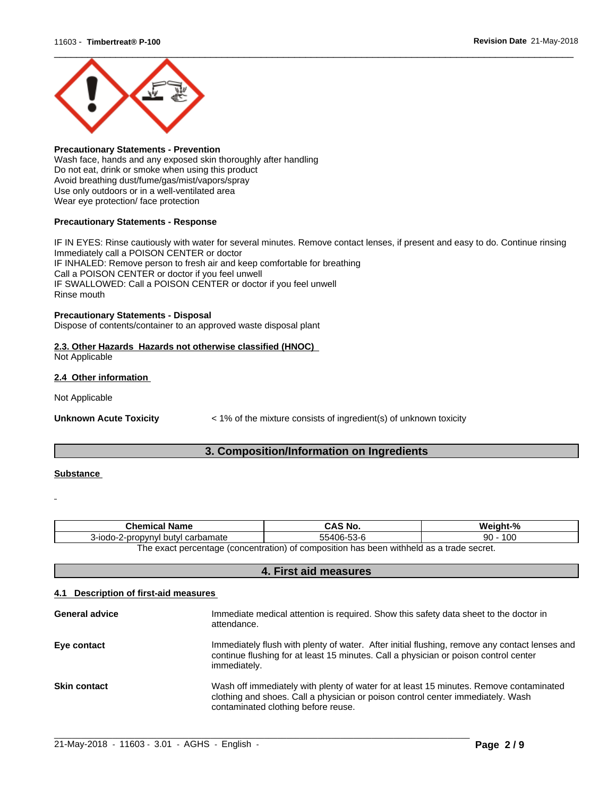

## **Precautionary Statements - Prevention**

Wash face, hands and any exposed skin thoroughly after handling Do not eat, drink or smoke when using this product Avoid breathing dust/fume/gas/mist/vapors/spray Use only outdoors or in a well-ventilated area Wear eye protection/ face protection

# **Precautionary Statements - Response**

IF IN EYES: Rinse cautiously with water for several minutes. Remove contact lenses, if present and easy to do. Continue rinsing Immediately call a POISON CENTER or doctor IF INHALED: Remove person to fresh air and keep comfortable for breathing Call a POISON CENTER or doctor if you feel unwell IF SWALLOWED: Call a POISON CENTER or doctor if you feel unwell Rinse mouth

## **Precautionary Statements - Disposal**

Dispose of contents/container to an approved waste disposal plant

# **2.3. Other Hazards Hazards not otherwise classified (HNOC)**

Not Applicable

# **2.4 Other information**

Not Applicable

**Unknown Acute Toxicity**  $\leq 1\%$  of the mixture consists of ingredient(s) of unknown toxicity

# **3. Composition/Information on Ingredients**

# **Substance**

| $\sim$<br><b>Chemical Name</b>                                                                                                      | - - - - -<br>` No                                         | - - -<br>Weiaht-°<br>70.  |  |
|-------------------------------------------------------------------------------------------------------------------------------------|-----------------------------------------------------------|---------------------------|--|
| l carbamate<br>ovnv<br>hutvl<br>-2-prop<br>s-iodo                                                                                   | $\sim$ $\sim$<br>$\sqrt{2}$<br>יי<br>וברי<br>า-า ง-n<br>. | 10c<br>ററ<br>י טע<br>ູງບ∶ |  |
| withheld a<br>√concentration \<br>of composition. (د<br>t as a trade secret.<br>t percentage.<br>. has<br>: heen<br>. exact<br>' he |                                                           |                           |  |

ct percentage (concentration) of composition has been withheld as a trade secret.

# **4. First aid measures**

# **4.1 Description of first-aid measures**

| <b>General advice</b> | Immediate medical attention is required. Show this safety data sheet to the doctor in<br>attendance.                                                                                                             |
|-----------------------|------------------------------------------------------------------------------------------------------------------------------------------------------------------------------------------------------------------|
| Eye contact           | Immediately flush with plenty of water. After initial flushing, remove any contact lenses and<br>continue flushing for at least 15 minutes. Call a physician or poison control center<br>immediately.            |
| <b>Skin contact</b>   | Wash off immediately with plenty of water for at least 15 minutes. Remove contaminated<br>clothing and shoes. Call a physician or poison control center immediately. Wash<br>contaminated clothing before reuse. |

 $\_$  ,  $\_$  ,  $\_$  ,  $\_$  ,  $\_$  ,  $\_$  ,  $\_$  ,  $\_$  ,  $\_$  ,  $\_$  ,  $\_$  ,  $\_$  ,  $\_$  ,  $\_$  ,  $\_$  ,  $\_$  ,  $\_$  ,  $\_$  ,  $\_$  ,  $\_$  ,  $\_$  ,  $\_$  ,  $\_$  ,  $\_$  ,  $\_$  ,  $\_$  ,  $\_$  ,  $\_$  ,  $\_$  ,  $\_$  ,  $\_$  ,  $\_$  ,  $\_$  ,  $\_$  ,  $\_$  ,  $\_$  ,  $\_$  ,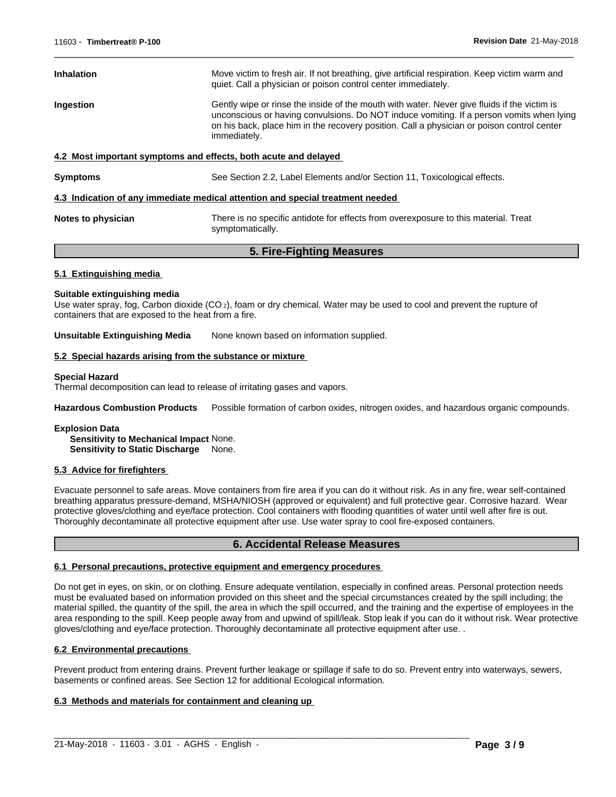| <b>Inhalation</b>                                                              | Move victim to fresh air. If not breathing, give artificial respiration. Keep victim warm and<br>quiet. Call a physician or poison control center immediately.                                                                                                                                        |  |  |
|--------------------------------------------------------------------------------|-------------------------------------------------------------------------------------------------------------------------------------------------------------------------------------------------------------------------------------------------------------------------------------------------------|--|--|
| Ingestion                                                                      | Gently wipe or rinse the inside of the mouth with water. Never give fluids if the victim is<br>unconscious or having convulsions. Do NOT induce vomiting. If a person vomits when lying<br>on his back, place him in the recovery position. Call a physician or poison control center<br>immediately. |  |  |
| 4.2 Most important symptoms and effects, both acute and delayed                |                                                                                                                                                                                                                                                                                                       |  |  |
| <b>Symptoms</b>                                                                | See Section 2.2, Label Elements and/or Section 11, Toxicological effects.                                                                                                                                                                                                                             |  |  |
| 4.3 Indication of any immediate medical attention and special treatment needed |                                                                                                                                                                                                                                                                                                       |  |  |
| Notes to physician                                                             | There is no specific antidote for effects from overexposure to this material. Treat<br>symptomatically.                                                                                                                                                                                               |  |  |

 $\overline{\phantom{a}}$  ,  $\overline{\phantom{a}}$  ,  $\overline{\phantom{a}}$  ,  $\overline{\phantom{a}}$  ,  $\overline{\phantom{a}}$  ,  $\overline{\phantom{a}}$  ,  $\overline{\phantom{a}}$  ,  $\overline{\phantom{a}}$  ,  $\overline{\phantom{a}}$  ,  $\overline{\phantom{a}}$  ,  $\overline{\phantom{a}}$  ,  $\overline{\phantom{a}}$  ,  $\overline{\phantom{a}}$  ,  $\overline{\phantom{a}}$  ,  $\overline{\phantom{a}}$  ,  $\overline{\phantom{a}}$ 

# **5. Fire-Fighting Measures**

## **5.1 Extinguishing media**

#### **Suitable extinguishing media**

Use water spray, fog, Carbon dioxide (CO<sub>2</sub>), foam or dry chemical. Water may be used to cool and prevent the rupture of containers that are exposed to the heat from a fire.

**Unsuitable Extinguishing Media** None known based on information supplied.

## **5.2 Special hazards arising from the substance or mixture**

#### **Special Hazard**

Thermal decomposition can lead to release of irritating gases and vapors.

**Hazardous Combustion Products** Possible formation of carbon oxides, nitrogen oxides, and hazardous organic compounds.

#### **Explosion Data**

**Sensitivity to Mechanical Impact** None. **Sensitivity to Static Discharge** None.

## **5.3 Advice for firefighters**

Evacuate personnel to safe areas.Move containers from fire area if you can do it without risk. As in any fire, wear self-contained breathing apparatus pressure-demand, MSHA/NIOSH (approved or equivalent) and full protective gear. Corrosive hazard. Wear protective gloves/clothing and eye/face protection. Cool containers with flooding quantities of water until well after fire is out. Thoroughly decontaminate all protective equipment after use. Use water spray to cool fire-exposed containers.

# **6. Accidental Release Measures**

## **6.1 Personal precautions, protective equipment and emergency procedures**

Do not get in eyes, on skin, or on clothing. Ensure adequate ventilation, especially in confined areas. Personal protection needs must be evaluated based on information provided on this sheet and the special circumstances created by the spill including; the material spilled, the quantity of the spill, the area in which the spill occurred, and the training and the expertise of employees in the area responding to the spill. Keep people away from and upwind of spill/leak. Stop leak if you can do it without risk. Wear protective gloves/clothing and eye/face protection. Thoroughly decontaminate all protective equipment after use. .

## **6.2 Environmental precautions**

Prevent product from entering drains. Prevent further leakage or spillage if safe to do so. Prevent entry into waterways, sewers, basements or confined areas. See Section 12 for additional Ecological information.

 $\_$  ,  $\_$  ,  $\_$  ,  $\_$  ,  $\_$  ,  $\_$  ,  $\_$  ,  $\_$  ,  $\_$  ,  $\_$  ,  $\_$  ,  $\_$  ,  $\_$  ,  $\_$  ,  $\_$  ,  $\_$  ,  $\_$  ,  $\_$  ,  $\_$  ,  $\_$  ,  $\_$  ,  $\_$  ,  $\_$  ,  $\_$  ,  $\_$  ,  $\_$  ,  $\_$  ,  $\_$  ,  $\_$  ,  $\_$  ,  $\_$  ,  $\_$  ,  $\_$  ,  $\_$  ,  $\_$  ,  $\_$  ,  $\_$  ,

## **6.3 Methods and materials for containment and cleaning up**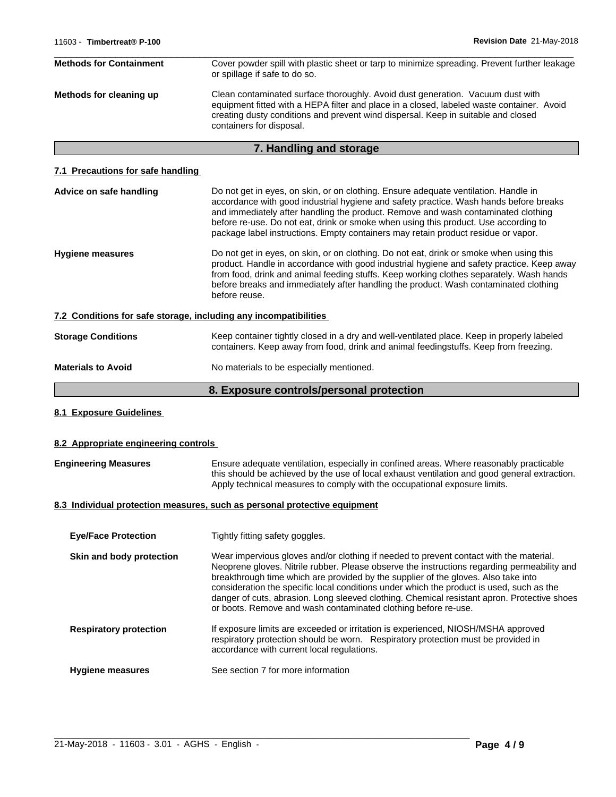| <b>Methods for Containment</b> | Cover powder spill with plastic sheet or tarp to minimize spreading. Prevent further leakage<br>or spillage if safe to do so.                                                                                                                                                                |
|--------------------------------|----------------------------------------------------------------------------------------------------------------------------------------------------------------------------------------------------------------------------------------------------------------------------------------------|
| Methods for cleaning up        | Clean contaminated surface thoroughly. Avoid dust generation. Vacuum dust with<br>equipment fitted with a HEPA filter and place in a closed, labeled waste container. Avoid<br>creating dusty conditions and prevent wind dispersal. Keep in suitable and closed<br>containers for disposal. |

# **7. Handling and storage**

# **7.1 Precautions for safe handling**

| Advice on safe handling   | Do not get in eyes, on skin, or on clothing. Ensure adequate ventilation. Handle in                                                                                                                                                                                                                                                                                                      |
|---------------------------|------------------------------------------------------------------------------------------------------------------------------------------------------------------------------------------------------------------------------------------------------------------------------------------------------------------------------------------------------------------------------------------|
|                           | accordance with good industrial hygiene and safety practice. Wash hands before breaks<br>and immediately after handling the product. Remove and wash contaminated clothing                                                                                                                                                                                                               |
|                           | before re-use. Do not eat, drink or smoke when using this product. Use according to                                                                                                                                                                                                                                                                                                      |
|                           | package label instructions. Empty containers may retain product residue or vapor.                                                                                                                                                                                                                                                                                                        |
| <b>Hygiene measures</b>   | Do not get in eyes, on skin, or on clothing. Do not eat, drink or smoke when using this<br>product. Handle in accordance with good industrial hygiene and safety practice. Keep away<br>from food, drink and animal feeding stuffs. Keep working clothes separately. Wash hands<br>before breaks and immediately after handling the product. Wash contaminated clothing<br>before reuse. |
|                           | 7.2 Conditions for safe storage, including any incompatibilities                                                                                                                                                                                                                                                                                                                         |
| <b>Storage Conditions</b> | Keep container tightly closed in a dry and well-ventilated place. Keep in properly labeled<br>containers. Keep away from food, drink and animal feedingstuffs. Keep from freezing.                                                                                                                                                                                                       |
| <b>Materials to Avoid</b> | No materials to be especially mentioned.                                                                                                                                                                                                                                                                                                                                                 |
|                           | 8. Exposure controls/personal protection                                                                                                                                                                                                                                                                                                                                                 |

**8.1 Exposure Guidelines**

# **8.2 Appropriate engineering controls**

| <b>Engineering Measures</b> | Ensure adequate ventilation, especially in confined areas. Where reasonably practicable      |
|-----------------------------|----------------------------------------------------------------------------------------------|
|                             | this should be achieved by the use of local exhaust ventilation and good general extraction. |
|                             | Apply technical measures to comply with the occupational exposure limits.                    |

# **8.3 Individual protection measures, such as personal protective equipment**

| <b>Eye/Face Protection</b>    | Tightly fitting safety goggles.                                                                                                                                                                                                                                                                                                                                                                                                                                                                                                          |
|-------------------------------|------------------------------------------------------------------------------------------------------------------------------------------------------------------------------------------------------------------------------------------------------------------------------------------------------------------------------------------------------------------------------------------------------------------------------------------------------------------------------------------------------------------------------------------|
| Skin and body protection      | Wear impervious gloves and/or clothing if needed to prevent contact with the material.<br>Neoprene gloves. Nitrile rubber. Please observe the instructions regarding permeability and<br>breakthrough time which are provided by the supplier of the gloves. Also take into<br>consideration the specific local conditions under which the product is used, such as the<br>danger of cuts, abrasion. Long sleeved clothing. Chemical resistant apron. Protective shoes<br>or boots. Remove and wash contaminated clothing before re-use. |
| <b>Respiratory protection</b> | If exposure limits are exceeded or irritation is experienced, NIOSH/MSHA approved<br>respiratory protection should be worn. Respiratory protection must be provided in<br>accordance with current local regulations.                                                                                                                                                                                                                                                                                                                     |
| <b>Hygiene measures</b>       | See section 7 for more information                                                                                                                                                                                                                                                                                                                                                                                                                                                                                                       |

 $\_$  ,  $\_$  ,  $\_$  ,  $\_$  ,  $\_$  ,  $\_$  ,  $\_$  ,  $\_$  ,  $\_$  ,  $\_$  ,  $\_$  ,  $\_$  ,  $\_$  ,  $\_$  ,  $\_$  ,  $\_$  ,  $\_$  ,  $\_$  ,  $\_$  ,  $\_$  ,  $\_$  ,  $\_$  ,  $\_$  ,  $\_$  ,  $\_$  ,  $\_$  ,  $\_$  ,  $\_$  ,  $\_$  ,  $\_$  ,  $\_$  ,  $\_$  ,  $\_$  ,  $\_$  ,  $\_$  ,  $\_$  ,  $\_$  ,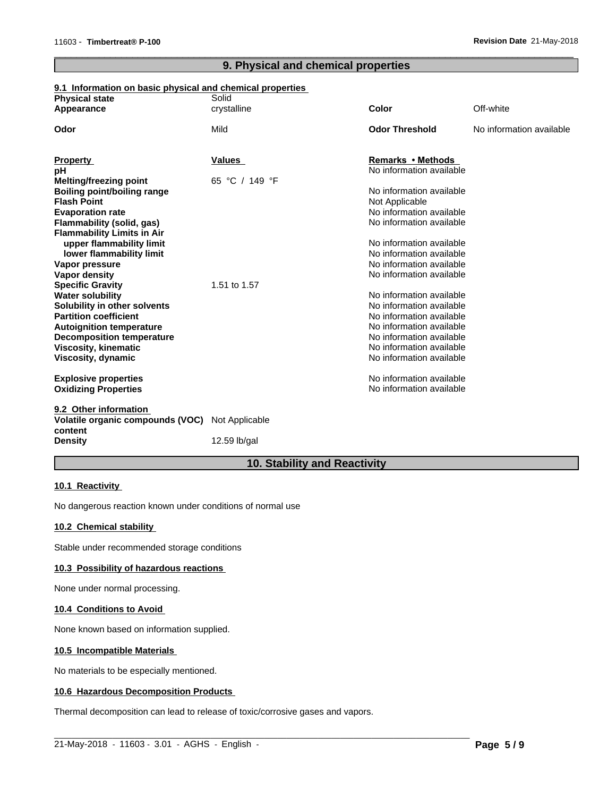# **9. Physical and chemical properties**

 $\overline{\phantom{a}}$  ,  $\overline{\phantom{a}}$  ,  $\overline{\phantom{a}}$  ,  $\overline{\phantom{a}}$  ,  $\overline{\phantom{a}}$  ,  $\overline{\phantom{a}}$  ,  $\overline{\phantom{a}}$  ,  $\overline{\phantom{a}}$  ,  $\overline{\phantom{a}}$  ,  $\overline{\phantom{a}}$  ,  $\overline{\phantom{a}}$  ,  $\overline{\phantom{a}}$  ,  $\overline{\phantom{a}}$  ,  $\overline{\phantom{a}}$  ,  $\overline{\phantom{a}}$  ,  $\overline{\phantom{a}}$ 

# **9.1 Information on basic physical and chemical properties**

| <b>Physical state</b>                                             | Solid               |                                            |                          |
|-------------------------------------------------------------------|---------------------|--------------------------------------------|--------------------------|
| Appearance                                                        | crystalline         | <b>Color</b>                               | Off-white                |
| Odor                                                              | Mild                | <b>Odor Threshold</b>                      | No information available |
| <b>Property</b>                                                   | <b>Values</b>       | Remarks • Methods                          |                          |
| рH                                                                |                     | No information available                   |                          |
| <b>Melting/freezing point</b>                                     | 65 °C / 149 °F      |                                            |                          |
| <b>Boiling point/boiling range</b>                                |                     | No information available                   |                          |
| <b>Flash Point</b>                                                |                     | Not Applicable<br>No information available |                          |
| <b>Evaporation rate</b>                                           |                     | No information available                   |                          |
| Flammability (solid, gas)<br><b>Flammability Limits in Air</b>    |                     |                                            |                          |
| upper flammability limit                                          |                     | No information available                   |                          |
| lower flammability limit                                          |                     | No information available                   |                          |
| Vapor pressure                                                    |                     | No information available                   |                          |
| Vapor density                                                     |                     | No information available                   |                          |
| <b>Specific Gravity</b>                                           | 1.51 to 1.57        |                                            |                          |
| <b>Water solubility</b>                                           |                     | No information available                   |                          |
| Solubility in other solvents                                      |                     | No information available                   |                          |
| <b>Partition coefficient</b>                                      |                     | No information available                   |                          |
| <b>Autoignition temperature</b>                                   |                     | No information available                   |                          |
| <b>Decomposition temperature</b>                                  |                     | No information available                   |                          |
| <b>Viscosity, kinematic</b>                                       |                     | No information available                   |                          |
| Viscosity, dynamic                                                |                     | No information available                   |                          |
| <b>Explosive properties</b>                                       |                     | No information available                   |                          |
| <b>Oxidizing Properties</b>                                       |                     | No information available                   |                          |
| 9.2 Other information                                             |                     |                                            |                          |
| <b>Volatile organic compounds (VOC)</b> Not Applicable<br>content |                     |                                            |                          |
| <b>Density</b>                                                    | 12.59 $\frac{1}{2}$ |                                            |                          |

# **10. Stability and Reactivity**

 $\_$  ,  $\_$  ,  $\_$  ,  $\_$  ,  $\_$  ,  $\_$  ,  $\_$  ,  $\_$  ,  $\_$  ,  $\_$  ,  $\_$  ,  $\_$  ,  $\_$  ,  $\_$  ,  $\_$  ,  $\_$  ,  $\_$  ,  $\_$  ,  $\_$  ,  $\_$  ,  $\_$  ,  $\_$  ,  $\_$  ,  $\_$  ,  $\_$  ,  $\_$  ,  $\_$  ,  $\_$  ,  $\_$  ,  $\_$  ,  $\_$  ,  $\_$  ,  $\_$  ,  $\_$  ,  $\_$  ,  $\_$  ,  $\_$  ,

## **10.1 Reactivity**

No dangerous reaction known under conditions of normal use

# **10.2 Chemical stability**

Stable under recommended storage conditions

## **10.3 Possibility of hazardous reactions**

None under normal processing.

# **10.4 Conditions to Avoid**

None known based on information supplied.

## **10.5 Incompatible Materials**

No materials to be especially mentioned.

# **10.6 Hazardous Decomposition Products**

Thermal decomposition can lead to release of toxic/corrosive gases and vapors.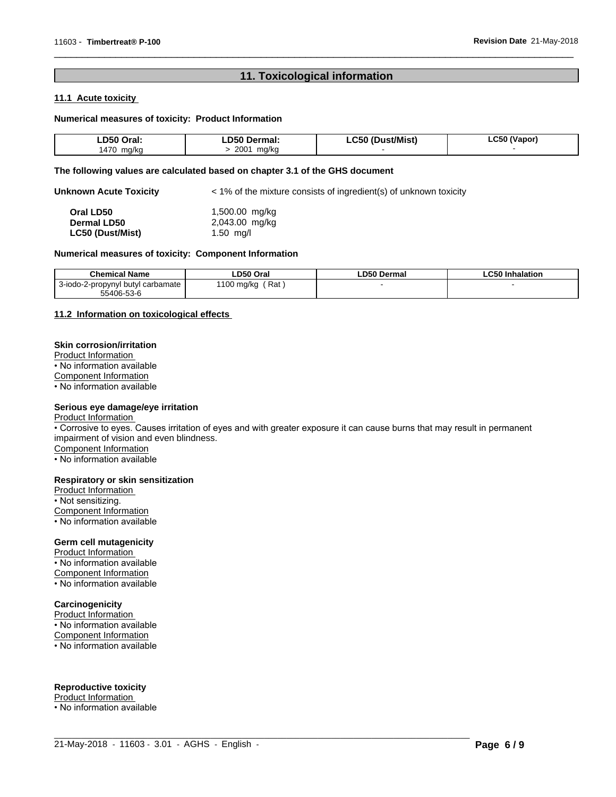# **11. Toxicological information**

 $\overline{\phantom{a}}$  ,  $\overline{\phantom{a}}$  ,  $\overline{\phantom{a}}$  ,  $\overline{\phantom{a}}$  ,  $\overline{\phantom{a}}$  ,  $\overline{\phantom{a}}$  ,  $\overline{\phantom{a}}$  ,  $\overline{\phantom{a}}$  ,  $\overline{\phantom{a}}$  ,  $\overline{\phantom{a}}$  ,  $\overline{\phantom{a}}$  ,  $\overline{\phantom{a}}$  ,  $\overline{\phantom{a}}$  ,  $\overline{\phantom{a}}$  ,  $\overline{\phantom{a}}$  ,  $\overline{\phantom{a}}$ 

## **11.1 Acute toxicity**

## **Numerical measures of toxicity: Product Information**

| D50<br>Oral        | Dermal<br>D50                    | 'st/Mist)<br>C <sub>50</sub><br>$\overline{\phantom{a}}$<br>___ | ^-^<br>(Vanor)<br>:50 |
|--------------------|----------------------------------|-----------------------------------------------------------------|-----------------------|
| ،47۲<br>ma/kr<br>. | 2001<br>ma/ko<br>$\cdot$ $\cdot$ |                                                                 |                       |

## **The following values are calculated based on chapter 3.1 of the GHS document**

**Unknown Acute Toxicity**  $\lt$  1% of the mixture consists of ingredient(s) of unknown toxicity

| Oral LD50               | 1,500.00 mg/kg |
|-------------------------|----------------|
| <b>Dermal LD50</b>      | 2,043.00 mg/kg |
| <b>LC50 (Dust/Mist)</b> | $1.50$ ma/l    |

#### **Numerical measures of toxicity: Component Information**

| <b>Chemical Name</b>                   | ∟D50 Oral                            | <b>LD50 Dermal</b> | C50 Inhalation<br>_C50 |
|----------------------------------------|--------------------------------------|--------------------|------------------------|
| 3-iodo-2-propynyl<br>! butvl carbamate | Rat<br>1100 ma/ka<br>$\cdot$ $\cdot$ |                    |                        |
| 55406-53-6                             |                                      |                    |                        |

# **11.2 Information on toxicologicaleffects**

## **Skin corrosion/irritation**

Product Information

• No information available

Component Information

• No information available

# **Serious eye damage/eye irritation**

Product Information

• Corrosive to eyes. Causes irritation of eyes and with greater exposure it can cause burns that may result in permanent impairment of vision and even blindness.

 $\_$  ,  $\_$  ,  $\_$  ,  $\_$  ,  $\_$  ,  $\_$  ,  $\_$  ,  $\_$  ,  $\_$  ,  $\_$  ,  $\_$  ,  $\_$  ,  $\_$  ,  $\_$  ,  $\_$  ,  $\_$  ,  $\_$  ,  $\_$  ,  $\_$  ,  $\_$  ,  $\_$  ,  $\_$  ,  $\_$  ,  $\_$  ,  $\_$  ,  $\_$  ,  $\_$  ,  $\_$  ,  $\_$  ,  $\_$  ,  $\_$  ,  $\_$  ,  $\_$  ,  $\_$  ,  $\_$  ,  $\_$  ,  $\_$  ,

Component Information

• No information available

## **Respiratory or skin sensitization**

Product Information

• Not sensitizing. Component Information • No information available

# **Germ cell mutagenicity**

Product Information • No information available Component Information • No information available

# **Carcinogenicity**

Product Information • No information available Component Information • No information available

# **Reproductive toxicity**

Product Information • No information available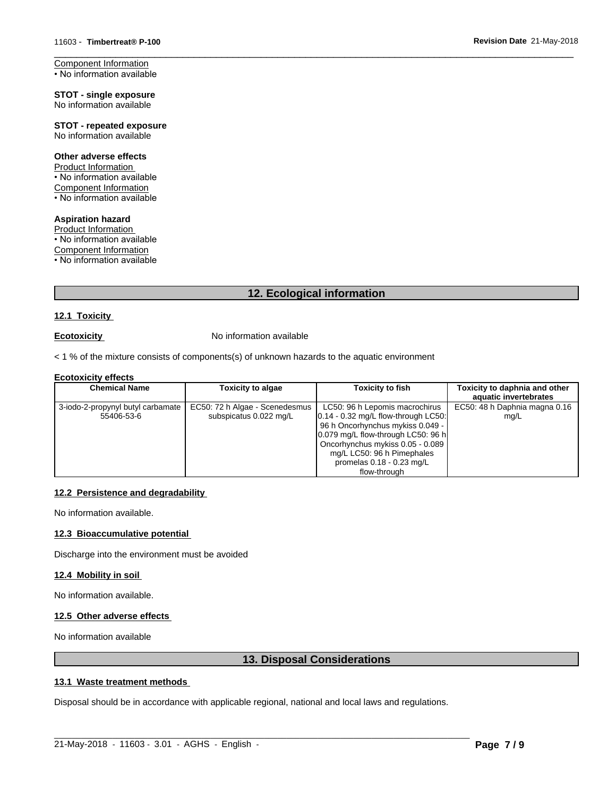Component Information • No information available

**STOT - single exposure** No information available

**STOT - repeated exposure** No information available

## **Other adverse effects**

Product Information • No information available Component Information • No information available

**Aspiration hazard** Product Information • No information available Component Information

• No information available

# **12. Ecological information**

## **12.1 Toxicity**

**Ecotoxicity No information available** 

 $<$  1 % of the mixture consists of components(s) of unknown hazards to the aquatic environment

## **Ecotoxicity effects**

| <b>Chemical Name</b>              | <b>Toxicity to algae</b>       | Toxicity to fish                       | Toxicity to daphnia and other |
|-----------------------------------|--------------------------------|----------------------------------------|-------------------------------|
|                                   |                                |                                        | aquatic invertebrates         |
| 3-iodo-2-propynyl butyl carbamate | EC50: 72 h Algae - Scenedesmus | LC50: 96 h Lepomis macrochirus         | EC50: 48 h Daphnia magna 0.16 |
| 55406-53-6                        | subspicatus 0.022 mg/L         | $[0.14 - 0.32$ mg/L flow-through LC50: | mg/L                          |
|                                   |                                | 96 h Oncorhynchus mykiss 0.049 -       |                               |
|                                   |                                | 0.079 mg/L flow-through LC50: 96 h     |                               |
|                                   |                                | Oncorhynchus mykiss 0.05 - 0.089       |                               |
|                                   |                                | mg/L LC50: 96 h Pimephales             |                               |
|                                   |                                | promelas $0.18 - 0.23$ mg/L            |                               |
|                                   |                                | flow-through                           |                               |

# **12.2 Persistence and degradability**

No information available.

# **12.3 Bioaccumulative potential**

Discharge into the environment must be avoided

## **12.4 Mobility in soil**

No information available.

# **12.5 Other adverse effects**

No information available

# **13. Disposal Considerations**

# **13.1 Waste treatment methods**

Disposal should be in accordance with applicable regional, national and local laws and regulations.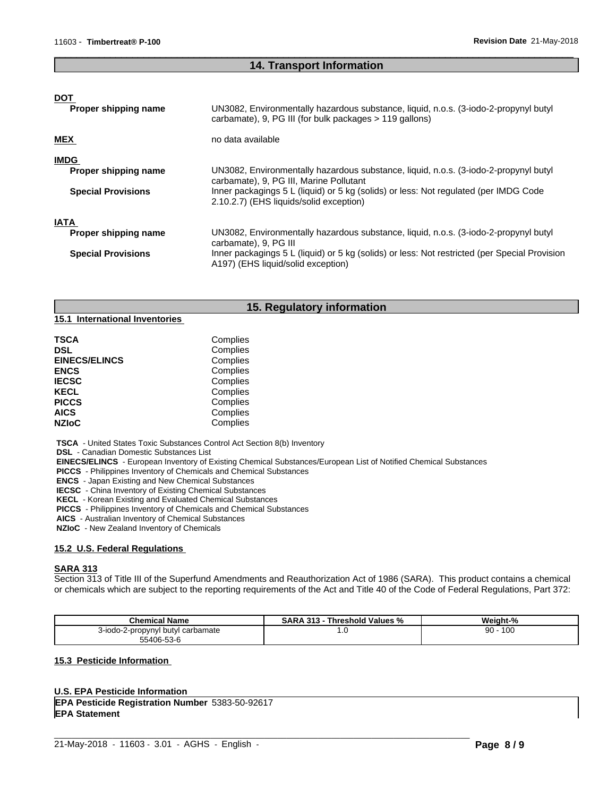# **14. Transport Information**

 $\overline{\phantom{a}}$  ,  $\overline{\phantom{a}}$  ,  $\overline{\phantom{a}}$  ,  $\overline{\phantom{a}}$  ,  $\overline{\phantom{a}}$  ,  $\overline{\phantom{a}}$  ,  $\overline{\phantom{a}}$  ,  $\overline{\phantom{a}}$  ,  $\overline{\phantom{a}}$  ,  $\overline{\phantom{a}}$  ,  $\overline{\phantom{a}}$  ,  $\overline{\phantom{a}}$  ,  $\overline{\phantom{a}}$  ,  $\overline{\phantom{a}}$  ,  $\overline{\phantom{a}}$  ,  $\overline{\phantom{a}}$ 

| <b>DOT</b><br>Proper shipping name                               | UN3082, Environmentally hazardous substance, liquid, n.o.s. (3-iodo-2-propynyl butyl<br>carbamate), 9, PG III (for bulk packages > 119 gallons)                                                                                                                    |
|------------------------------------------------------------------|--------------------------------------------------------------------------------------------------------------------------------------------------------------------------------------------------------------------------------------------------------------------|
| <b>MEX</b>                                                       | no data available                                                                                                                                                                                                                                                  |
| <b>IMDG</b><br>Proper shipping name<br><b>Special Provisions</b> | UN3082, Environmentally hazardous substance, liquid, n.o.s. (3-iodo-2-propynyl butyl<br>carbamate), 9, PG III, Marine Pollutant<br>Inner packagings 5 L (liquid) or 5 kg (solids) or less: Not regulated (per IMDG Code<br>2.10.2.7) (EHS liquids/solid exception) |
| <b>IATA</b><br>Proper shipping name<br><b>Special Provisions</b> | UN3082, Environmentally hazardous substance, liquid, n.o.s. (3-iodo-2-propynyl butyl<br>carbamate), 9, PG III<br>Inner packagings 5 L (liquid) or 5 kg (solids) or less: Not restricted (per Special Provision                                                     |
|                                                                  | A197) (EHS liquid/solid exception)                                                                                                                                                                                                                                 |

# **15. Regulatory information**

**15.1 International Inventories**

| TSCA                 | Complies |  |
|----------------------|----------|--|
| DSL                  | Complies |  |
| <b>EINECS/ELINCS</b> | Complies |  |
| <b>ENCS</b>          | Complies |  |
| <b>IECSC</b>         | Complies |  |
| <b>KECL</b>          | Complies |  |
| <b>PICCS</b>         | Complies |  |
| AICS                 | Complies |  |
| <b>NZIoC</b>         | Complies |  |
|                      |          |  |

 **TSCA** - United States Toxic Substances Control Act Section 8(b) Inventory

 **DSL** - Canadian Domestic Substances List

 **EINECS/ELINCS** - European Inventory of Existing Chemical Substances/European List of Notified Chemical Substances

 **PICCS** - Philippines Inventory of Chemicals and Chemical Substances

 **ENCS** - Japan Existing and New Chemical Substances

 **IECSC** - China Inventory of Existing Chemical Substances

 **KECL** - Korean Existing and Evaluated Chemical Substances

 **PICCS** - Philippines Inventory of Chemicals and Chemical Substances

 **AICS** - Australian Inventory of Chemical Substances

 **NZIoC** - New Zealand Inventory of Chemicals

## **15.2 U.S. Federal Regulations**

# **SARA 313**

Section 313 of Title III of the Superfund Amendments and Reauthorization Act of 1986 (SARA). This product contains a chemical or chemicals which are subject to the reporting requirements of the Act and Title 40 of the Code of Federal Regulations, Part 372:

| <b>Chemical Name</b>              | <b>SARA</b><br>Threshold Values %<br>313 | Weight-%  |
|-----------------------------------|------------------------------------------|-----------|
| 3-iodo-2-propynyl butyl carbamate | . u                                      | 100<br>90 |
| 55406-53-6                        |                                          |           |

 $\_$  ,  $\_$  ,  $\_$  ,  $\_$  ,  $\_$  ,  $\_$  ,  $\_$  ,  $\_$  ,  $\_$  ,  $\_$  ,  $\_$  ,  $\_$  ,  $\_$  ,  $\_$  ,  $\_$  ,  $\_$  ,  $\_$  ,  $\_$  ,  $\_$  ,  $\_$  ,  $\_$  ,  $\_$  ,  $\_$  ,  $\_$  ,  $\_$  ,  $\_$  ,  $\_$  ,  $\_$  ,  $\_$  ,  $\_$  ,  $\_$  ,  $\_$  ,  $\_$  ,  $\_$  ,  $\_$  ,  $\_$  ,  $\_$  ,

## **15.3 Pesticide Information**

## **U.S. EPA Pesticide Information**

**EPA Pesticide Registration Number** 5383-50-92617 **EPA Statement**